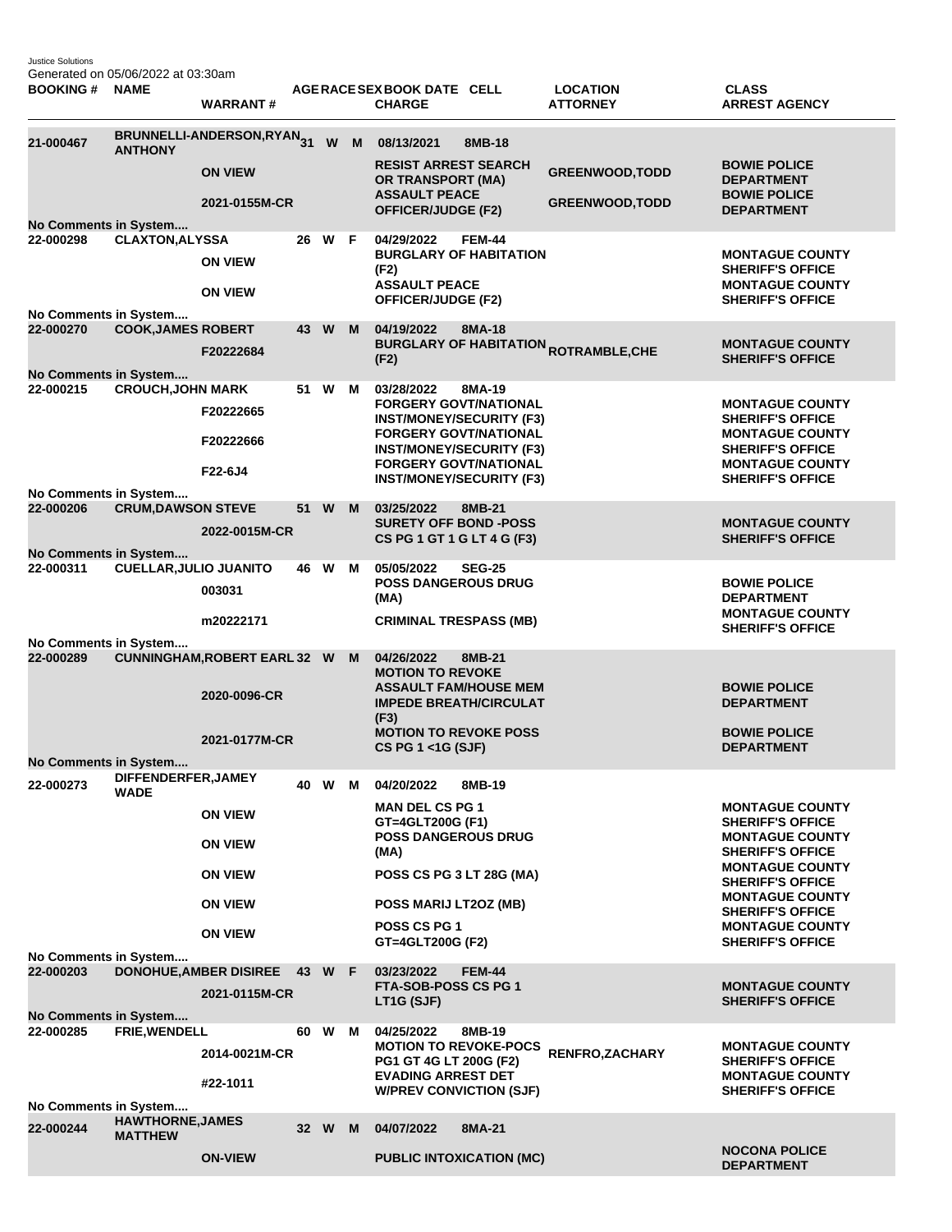Justice Solutions Generated on 05/06/2022 at 03:30am

| <b>BOOKING#</b>                    | <b>NAME</b>                        | <b>WARRANT#</b>                                     |    |        |   | AGERACE SEX BOOK DATE CELL<br><b>CHARGE</b>                                                            |               | <b>LOCATION</b><br><b>ATTORNEY</b>                     | <b>CLASS</b><br><b>ARREST AGENCY</b>                                        |
|------------------------------------|------------------------------------|-----------------------------------------------------|----|--------|---|--------------------------------------------------------------------------------------------------------|---------------|--------------------------------------------------------|-----------------------------------------------------------------------------|
| 21-000467                          | <b>ANTHONY</b>                     | BRUNNELLI-ANDERSON,RYAN31                           |    | W      | M | 08/13/2021                                                                                             | 8MB-18        |                                                        |                                                                             |
|                                    |                                    | <b>ON VIEW</b>                                      |    |        |   | <b>RESIST ARREST SEARCH</b><br>OR TRANSPORT (MA)<br><b>ASSAULT PEACE</b>                               |               | <b>GREENWOOD, TODD</b>                                 | <b>BOWIE POLICE</b><br><b>DEPARTMENT</b><br><b>BOWIE POLICE</b>             |
|                                    |                                    | 2021-0155M-CR                                       |    |        |   | <b>OFFICER/JUDGE (F2)</b>                                                                              |               | <b>GREENWOOD, TODD</b>                                 | <b>DEPARTMENT</b>                                                           |
| No Comments in System              |                                    |                                                     |    | W      | F | 04/29/2022                                                                                             | <b>FEM-44</b> |                                                        |                                                                             |
| 22-000298                          | <b>CLAXTON, ALYSSA</b>             | <b>ON VIEW</b>                                      | 26 |        |   | <b>BURGLARY OF HABITATION</b><br>(F2)<br><b>ASSAULT PEACE</b>                                          |               |                                                        | <b>MONTAGUE COUNTY</b><br><b>SHERIFF'S OFFICE</b><br><b>MONTAGUE COUNTY</b> |
|                                    |                                    | <b>ON VIEW</b>                                      |    |        |   | <b>OFFICER/JUDGE (F2)</b>                                                                              |               |                                                        | <b>SHERIFF'S OFFICE</b>                                                     |
| No Comments in System              |                                    |                                                     |    |        |   | 04/19/2022                                                                                             | 8MA-18        |                                                        |                                                                             |
| 22-000270<br>No Comments in System | <b>COOK, JAMES ROBERT</b>          | F20222684                                           | 43 | W      | M | (F2)                                                                                                   |               | <b>BURGLARY OF HABITATION <sub>ROTRAMBLE,CHE</sub></b> | <b>MONTAGUE COUNTY</b><br><b>SHERIFF'S OFFICE</b>                           |
| 22-000215                          | <b>CROUCH, JOHN MARK</b>           |                                                     | 51 | W      | м | 03/28/2022                                                                                             | 8MA-19        |                                                        |                                                                             |
|                                    |                                    | F20222665                                           |    |        |   | <b>FORGERY GOVT/NATIONAL</b><br><b>INST/MONEY/SECURITY (F3)</b><br><b>FORGERY GOVT/NATIONAL</b>        |               |                                                        | <b>MONTAGUE COUNTY</b><br><b>SHERIFF'S OFFICE</b><br><b>MONTAGUE COUNTY</b> |
|                                    |                                    | F20222666                                           |    |        |   | <b>INST/MONEY/SECURITY (F3)</b>                                                                        |               |                                                        | <b>SHERIFF'S OFFICE</b><br><b>MONTAGUE COUNTY</b>                           |
|                                    |                                    | F22-6J4                                             |    |        |   | <b>FORGERY GOVT/NATIONAL</b><br><b>INST/MONEY/SECURITY (F3)</b>                                        |               |                                                        | <b>SHERIFF'S OFFICE</b>                                                     |
| No Comments in System              |                                    |                                                     |    |        |   |                                                                                                        |               |                                                        |                                                                             |
| 22-000206<br>No Comments in System | <b>CRUM, DAWSON STEVE</b>          | 2022-0015M-CR                                       |    | 51 W   | M | 03/25/2022<br><b>SURETY OFF BOND -POSS</b><br>CS PG 1 GT 1 G LT 4 G (F3)                               | 8MB-21        |                                                        | <b>MONTAGUE COUNTY</b><br><b>SHERIFF'S OFFICE</b>                           |
| 22-000311                          | <b>CUELLAR, JULIO JUANITO</b>      |                                                     |    | 46 W   | м | 05/05/2022                                                                                             | <b>SEG-25</b> |                                                        |                                                                             |
|                                    |                                    | 003031                                              |    |        |   | <b>POSS DANGEROUS DRUG</b><br>(MA)                                                                     |               |                                                        | <b>BOWIE POLICE</b><br><b>DEPARTMENT</b>                                    |
|                                    |                                    | m20222171                                           |    |        |   | <b>CRIMINAL TRESPASS (MB)</b>                                                                          |               |                                                        | <b>MONTAGUE COUNTY</b><br><b>SHERIFF'S OFFICE</b>                           |
| No Comments in System              |                                    |                                                     |    |        |   |                                                                                                        |               |                                                        |                                                                             |
| 22-000289                          |                                    | <b>CUNNINGHAM, ROBERT EARL 32 W</b><br>2020-0096-CR |    |        | M | 04/26/2022<br><b>MOTION TO REVOKE</b><br><b>ASSAULT FAM/HOUSE MEM</b><br><b>IMPEDE BREATH/CIRCULAT</b> | 8MB-21        |                                                        | <b>BOWIE POLICE</b><br><b>DEPARTMENT</b>                                    |
|                                    |                                    | 2021-0177M-CR                                       |    |        |   | (F3)<br><b>MOTION TO REVOKE POSS</b><br>CS PG 1 <1G (SJF)                                              |               |                                                        | <b>BOWIE POLICE</b><br><b>DEPARTMENT</b>                                    |
| No Comments in System              |                                    |                                                     |    |        |   |                                                                                                        |               |                                                        |                                                                             |
| 22-000273                          | DIFFENDERFER, JAMEY<br><b>WADE</b> |                                                     |    | 40 W M |   | 04/20/2022                                                                                             | 8MB-19        |                                                        |                                                                             |
|                                    |                                    | <b>ON VIEW</b>                                      |    |        |   | <b>MAN DEL CS PG 1</b><br>GT=4GLT200G (F1)                                                             |               |                                                        | <b>MONTAGUE COUNTY</b><br><b>SHERIFF'S OFFICE</b>                           |
|                                    |                                    | <b>ON VIEW</b>                                      |    |        |   | <b>POSS DANGEROUS DRUG</b><br>(MA)                                                                     |               |                                                        | <b>MONTAGUE COUNTY</b><br><b>SHERIFF'S OFFICE</b>                           |
|                                    |                                    | <b>ON VIEW</b>                                      |    |        |   | POSS CS PG 3 LT 28G (MA)                                                                               |               |                                                        | <b>MONTAGUE COUNTY</b><br><b>SHERIFF'S OFFICE</b><br><b>MONTAGUE COUNTY</b> |
|                                    |                                    | <b>ON VIEW</b>                                      |    |        |   | POSS MARIJ LT2OZ (MB)<br>POSS CS PG 1                                                                  |               |                                                        | <b>SHERIFF'S OFFICE</b><br><b>MONTAGUE COUNTY</b>                           |
|                                    |                                    | <b>ON VIEW</b>                                      |    |        |   | GT=4GLT200G (F2)                                                                                       |               |                                                        | <b>SHERIFF'S OFFICE</b>                                                     |
| No Comments in System<br>22-000203 |                                    | <b>DONOHUE, AMBER DISIREE</b>                       |    | 43 W F |   | 03/23/2022                                                                                             | <b>FEM-44</b> |                                                        |                                                                             |
|                                    |                                    | 2021-0115M-CR                                       |    |        |   | FTA-SOB-POSS CS PG 1                                                                                   |               |                                                        | <b>MONTAGUE COUNTY</b>                                                      |
| No Comments in System              |                                    |                                                     |    |        |   | LT1G (SJF)                                                                                             |               |                                                        | <b>SHERIFF'S OFFICE</b>                                                     |
| 22-000285                          | <b>FRIE, WENDELL</b>               |                                                     |    | 60 W   | M | 04/25/2022                                                                                             | 8MB-19        |                                                        |                                                                             |
|                                    |                                    | 2014-0021M-CR                                       |    |        |   | <b>MOTION TO REVOKE-POCS</b><br>PG1 GT 4G LT 200G (F2)<br><b>EVADING ARREST DET</b>                    |               | RENFRO, ZACHARY                                        | <b>MONTAGUE COUNTY</b><br><b>SHERIFF'S OFFICE</b><br><b>MONTAGUE COUNTY</b> |
|                                    |                                    | #22-1011                                            |    |        |   | <b>W/PREV CONVICTION (SJF)</b>                                                                         |               |                                                        | <b>SHERIFF'S OFFICE</b>                                                     |
| No Comments in System              | <b>HAWTHORNE, JAMES</b>            |                                                     |    |        |   |                                                                                                        |               |                                                        |                                                                             |
| 22-000244                          | <b>MATTHEW</b>                     |                                                     |    | 32 W   | M | 04/07/2022                                                                                             | 8MA-21        |                                                        |                                                                             |
|                                    |                                    | <b>ON-VIEW</b>                                      |    |        |   | <b>PUBLIC INTOXICATION (MC)</b>                                                                        |               |                                                        | <b>NOCONA POLICE</b><br><b>DEPARTMENT</b>                                   |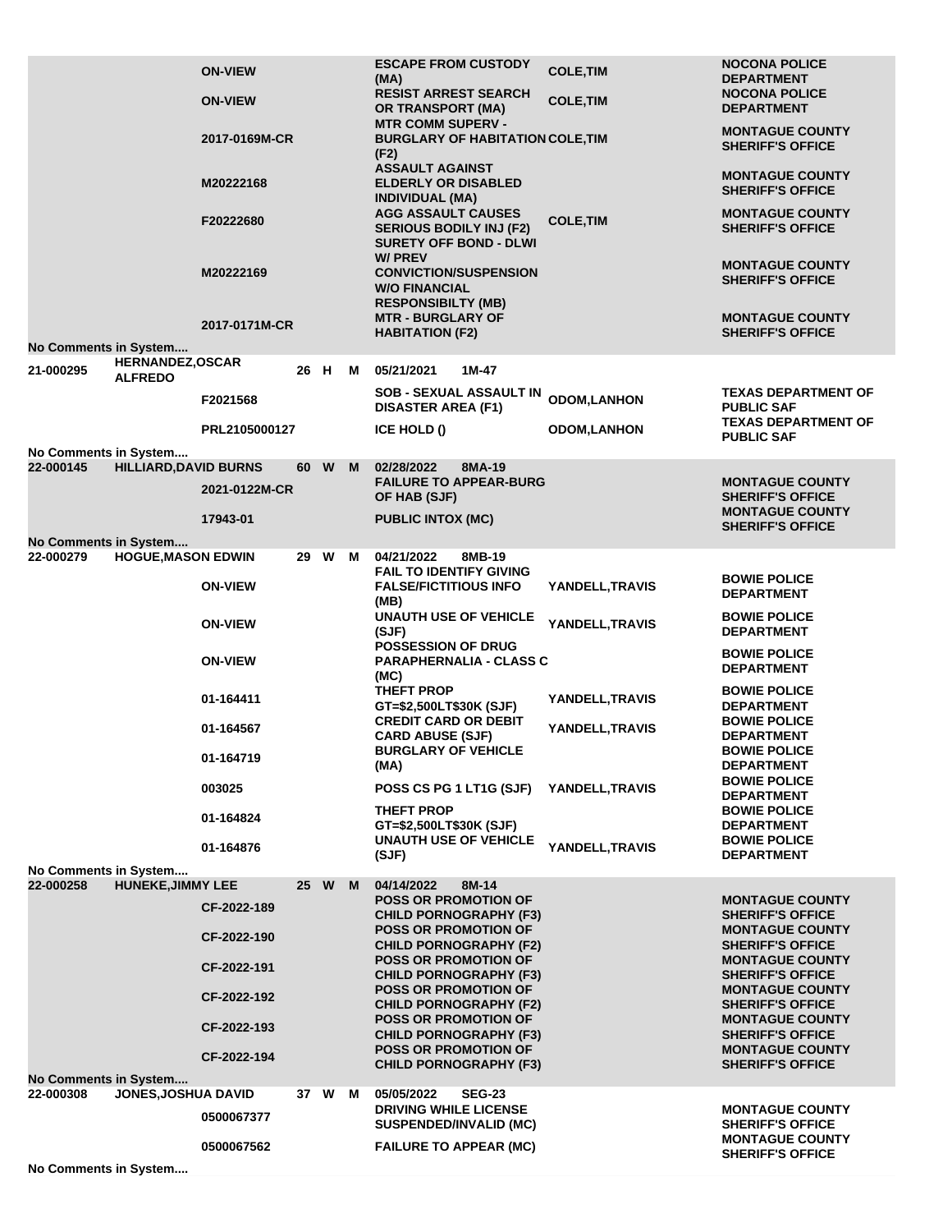|                                                 | <b>ON-VIEW</b>               |  |                                                              |                                                   | <b>ESCAPE FROM CUSTODY</b><br>(MA)<br><b>RESIST ARREST SEARCH</b>                                  | <b>COLE, TIM</b>   | <b>NOCONA POLICE</b><br><b>DEPARTMENT</b><br><b>NOCONA POLICE</b> |
|-------------------------------------------------|------------------------------|--|--------------------------------------------------------------|---------------------------------------------------|----------------------------------------------------------------------------------------------------|--------------------|-------------------------------------------------------------------|
|                                                 | <b>ON-VIEW</b>               |  |                                                              |                                                   | <b>OR TRANSPORT (MA)</b><br><b>MTR COMM SUPERV -</b>                                               | <b>COLE, TIM</b>   | <b>DEPARTMENT</b><br><b>MONTAGUE COUNTY</b>                       |
|                                                 | 2017-0169M-CR                |  |                                                              |                                                   | <b>BURGLARY OF HABITATION COLE, TIM</b><br>(F2)                                                    |                    | <b>SHERIFF'S OFFICE</b>                                           |
|                                                 | M20222168                    |  |                                                              |                                                   | <b>ASSAULT AGAINST</b><br><b>ELDERLY OR DISABLED</b><br><b>INDIVIDUAL (MA)</b>                     |                    | <b>MONTAGUE COUNTY</b><br><b>SHERIFF'S OFFICE</b>                 |
|                                                 | F20222680                    |  |                                                              |                                                   | <b>AGG ASSAULT CAUSES</b><br><b>SERIOUS BODILY INJ (F2)</b><br><b>SURETY OFF BOND - DLWI</b>       | <b>COLE, TIM</b>   | <b>MONTAGUE COUNTY</b><br><b>SHERIFF'S OFFICE</b>                 |
|                                                 | M20222169                    |  |                                                              |                                                   | <b>W/PREV</b><br><b>CONVICTION/SUSPENSION</b><br><b>W/O FINANCIAL</b><br><b>RESPONSIBILTY (MB)</b> |                    | <b>MONTAGUE COUNTY</b><br><b>SHERIFF'S OFFICE</b>                 |
|                                                 | 2017-0171M-CR                |  |                                                              |                                                   | <b>MTR - BURGLARY OF</b><br><b>HABITATION (F2)</b>                                                 |                    | <b>MONTAGUE COUNTY</b><br><b>SHERIFF'S OFFICE</b>                 |
| No Comments in System<br><b>HERNANDEZ,OSCAR</b> |                              |  |                                                              |                                                   |                                                                                                    |                    |                                                                   |
| 21-000295<br><b>ALFREDO</b>                     |                              |  | 26 H                                                         | м                                                 | 05/21/2021<br>1M-47                                                                                |                    |                                                                   |
|                                                 | F2021568                     |  |                                                              |                                                   | <b>SOB - SEXUAL ASSAULT IN</b><br><b>DISASTER AREA (F1)</b>                                        | <b>ODOM,LANHON</b> | TEXAS DEPARTMENT OF<br><b>PUBLIC SAF</b>                          |
|                                                 | PRL2105000127                |  |                                                              |                                                   | ICE HOLD ()                                                                                        | <b>ODOM,LANHON</b> | <b>TEXAS DEPARTMENT OF</b><br><b>PUBLIC SAF</b>                   |
| No Comments in System                           |                              |  |                                                              |                                                   |                                                                                                    |                    |                                                                   |
| 22-000145                                       | <b>HILLIARD, DAVID BURNS</b> |  | 60 W                                                         | M                                                 | 02/28/2022<br>8MA-19<br><b>FAILURE TO APPEAR-BURG</b>                                              |                    | <b>MONTAGUE COUNTY</b>                                            |
|                                                 | 2021-0122M-CR                |  |                                                              |                                                   | OF HAB (SJF)                                                                                       |                    | <b>SHERIFF'S OFFICE</b>                                           |
|                                                 | 17943-01                     |  |                                                              |                                                   | <b>PUBLIC INTOX (MC)</b>                                                                           |                    | <b>MONTAGUE COUNTY</b><br><b>SHERIFF'S OFFICE</b>                 |
| No Comments in System                           |                              |  |                                                              |                                                   |                                                                                                    |                    |                                                                   |
| 22-000279                                       | <b>HOGUE, MASON EDWIN</b>    |  | 29 W                                                         | м                                                 | 04/21/2022<br>8MB-19<br><b>FAIL TO IDENTIFY GIVING</b>                                             |                    |                                                                   |
|                                                 | <b>ON-VIEW</b>               |  |                                                              |                                                   | <b>FALSE/FICTITIOUS INFO</b><br>(MB)                                                               | YANDELL, TRAVIS    | <b>BOWIE POLICE</b><br><b>DEPARTMENT</b>                          |
|                                                 | <b>ON-VIEW</b>               |  |                                                              |                                                   | <b>UNAUTH USE OF VEHICLE</b><br>(SJF)                                                              | YANDELL, TRAVIS    | <b>BOWIE POLICE</b><br><b>DEPARTMENT</b>                          |
|                                                 | <b>ON-VIEW</b>               |  |                                                              |                                                   | <b>POSSESSION OF DRUG</b><br><b>PARAPHERNALIA - CLASS C</b><br>(MC)                                |                    | <b>BOWIE POLICE</b><br><b>DEPARTMENT</b>                          |
|                                                 | 01-164411                    |  |                                                              |                                                   | <b>THEFT PROP</b><br>GT=\$2,500LT\$30K (SJF)                                                       | YANDELL, TRAVIS    | <b>BOWIE POLICE</b><br><b>DEPARTMENT</b>                          |
|                                                 | 01-164567                    |  |                                                              |                                                   | <b>CREDIT CARD OR DEBIT</b><br><b>CARD ABUSE (SJF)</b><br><b>BURGLARY OF VEHICLE</b>               | YANDELL, TRAVIS    | <b>BOWIE POLICE</b><br><b>DEPARTMENT</b><br><b>BOWIE POLICE</b>   |
|                                                 | 01-164719                    |  |                                                              |                                                   | (MA)                                                                                               |                    | <b>DEPARTMENT</b>                                                 |
|                                                 | 003025                       |  |                                                              |                                                   | POSS CS PG 1 LT1G (SJF)                                                                            | YANDELL, TRAVIS    | <b>BOWIE POLICE</b><br><b>DEPARTMENT</b>                          |
|                                                 | 01-164824                    |  |                                                              |                                                   | THEFT PROP<br>GT=\$2,500LT\$30K (SJF)                                                              |                    | <b>BOWIE POLICE</b><br><b>DEPARTMENT</b>                          |
|                                                 | 01-164876                    |  |                                                              |                                                   | <b>UNAUTH USE OF VEHICLE</b><br>(SJF)                                                              | YANDELL, TRAVIS    | <b>BOWIE POLICE</b><br><b>DEPARTMENT</b>                          |
| No Comments in System                           |                              |  |                                                              |                                                   |                                                                                                    |                    |                                                                   |
| <b>HUNEKE, JIMMY LEE</b><br>22-000258           | CF-2022-189                  |  | 25 W                                                         | M                                                 | 04/14/2022<br>8M-14<br><b>POSS OR PROMOTION OF</b><br><b>CHILD PORNOGRAPHY (F3)</b>                |                    | <b>MONTAGUE COUNTY</b><br><b>SHERIFF'S OFFICE</b>                 |
|                                                 | CF-2022-190                  |  |                                                              |                                                   | <b>POSS OR PROMOTION OF</b><br><b>CHILD PORNOGRAPHY (F2)</b>                                       |                    | <b>MONTAGUE COUNTY</b><br><b>SHERIFF'S OFFICE</b>                 |
|                                                 | CF-2022-191                  |  |                                                              |                                                   | <b>POSS OR PROMOTION OF</b><br><b>CHILD PORNOGRAPHY (F3)</b>                                       |                    | <b>MONTAGUE COUNTY</b><br><b>SHERIFF'S OFFICE</b>                 |
| CF-2022-192                                     |                              |  | <b>POSS OR PROMOTION OF</b><br><b>CHILD PORNOGRAPHY (F2)</b> | <b>MONTAGUE COUNTY</b><br><b>SHERIFF'S OFFICE</b> |                                                                                                    |                    |                                                                   |
|                                                 | CF-2022-193                  |  |                                                              |                                                   | <b>POSS OR PROMOTION OF</b><br><b>CHILD PORNOGRAPHY (F3)</b>                                       |                    | <b>MONTAGUE COUNTY</b><br><b>SHERIFF'S OFFICE</b>                 |
|                                                 | CF-2022-194                  |  |                                                              |                                                   | <b>POSS OR PROMOTION OF</b><br><b>CHILD PORNOGRAPHY (F3)</b>                                       |                    | <b>MONTAGUE COUNTY</b><br><b>SHERIFF'S OFFICE</b>                 |
| No Comments in System                           |                              |  |                                                              |                                                   |                                                                                                    |                    |                                                                   |
| 22-000308                                       | JONES, JOSHUA DAVID          |  | 37 W                                                         | м                                                 | 05/05/2022<br><b>SEG-23</b><br><b>DRIVING WHILE LICENSE</b>                                        |                    | <b>MONTAGUE COUNTY</b>                                            |
|                                                 | 0500067377                   |  |                                                              |                                                   | <b>SUSPENDED/INVALID (MC)</b>                                                                      |                    | <b>SHERIFF'S OFFICE</b>                                           |
|                                                 | 0500067562                   |  |                                                              |                                                   | <b>FAILURE TO APPEAR (MC)</b>                                                                      |                    | <b>MONTAGUE COUNTY</b><br><b>SHERIFF'S OFFICE</b>                 |
| No Comments in System                           |                              |  |                                                              |                                                   |                                                                                                    |                    |                                                                   |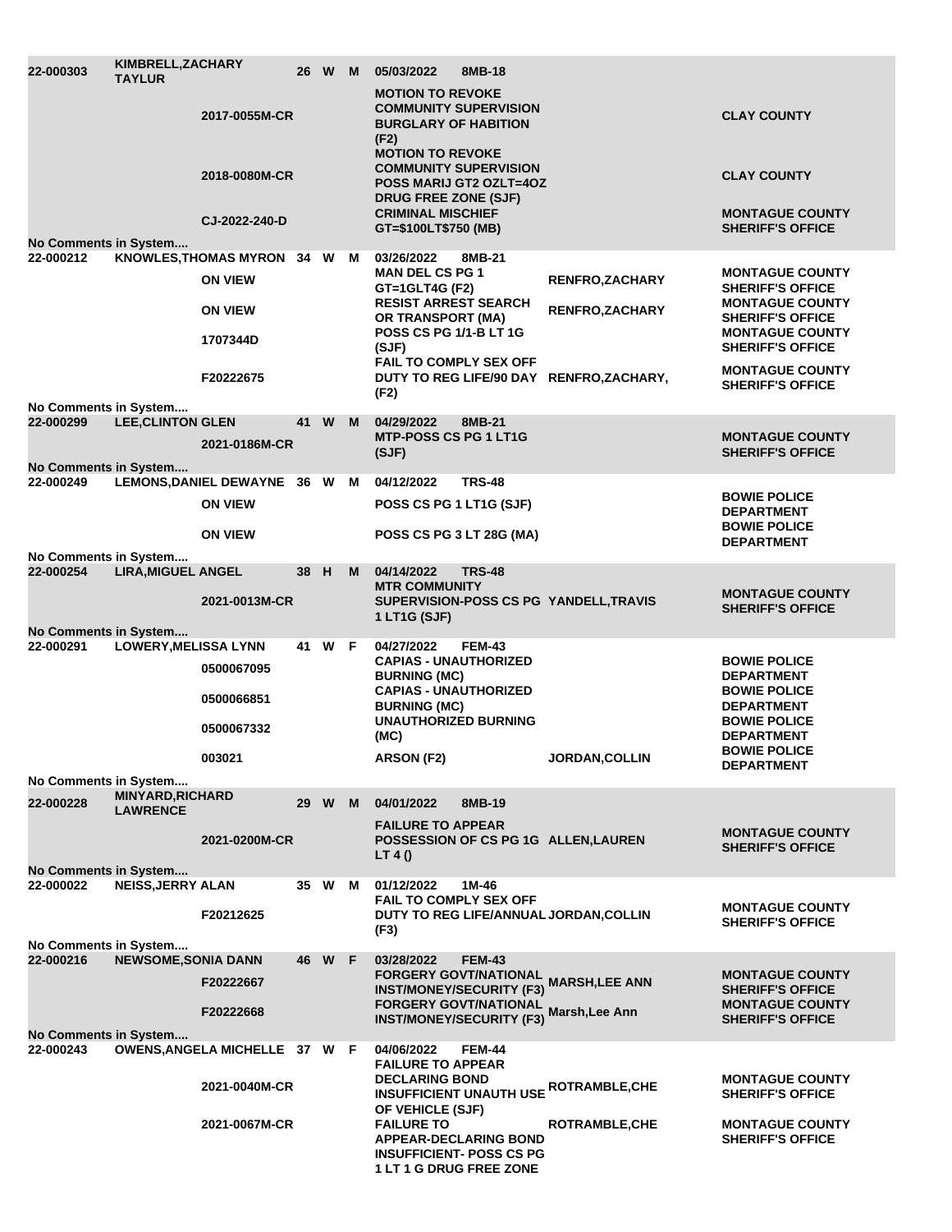| 22-000303                          | KIMBRELL, ZACHARY<br><b>TAYLUR</b>         |                                                 |      | 26 W M |   | 05/03/2022<br>8MB-18                                                                                       |                        |                                                   |                                                                             |
|------------------------------------|--------------------------------------------|-------------------------------------------------|------|--------|---|------------------------------------------------------------------------------------------------------------|------------------------|---------------------------------------------------|-----------------------------------------------------------------------------|
|                                    |                                            | 2017-0055M-CR                                   |      |        |   | <b>MOTION TO REVOKE</b><br><b>COMMUNITY SUPERVISION</b><br><b>BURGLARY OF HABITION</b><br>(F2)             |                        |                                                   | <b>CLAY COUNTY</b>                                                          |
|                                    |                                            | 2018-0080M-CR                                   |      |        |   | <b>MOTION TO REVOKE</b><br><b>COMMUNITY SUPERVISION</b><br>POSS MARIJ GT2 OZLT=4OZ<br>DRUG FREE ZONE (SJF) |                        |                                                   | <b>CLAY COUNTY</b>                                                          |
| No Comments in System              |                                            | CJ-2022-240-D                                   |      |        |   | <b>CRIMINAL MISCHIEF</b><br>GT=\$100LT\$750 (MB)                                                           |                        |                                                   | <b>MONTAGUE COUNTY</b><br><b>SHERIFF'S OFFICE</b>                           |
| 22-000212                          |                                            | KNOWLES, THOMAS MYRON 34 W M                    |      |        |   | 03/26/2022<br>8MB-21                                                                                       |                        |                                                   |                                                                             |
|                                    |                                            | <b>ON VIEW</b>                                  |      |        |   | <b>MAN DEL CS PG 1</b><br>GT=1GLT4G (F2)                                                                   | <b>RENFRO, ZACHARY</b> | <b>MONTAGUE COUNTY</b><br><b>SHERIFF'S OFFICE</b> |                                                                             |
|                                    |                                            | <b>ON VIEW</b>                                  |      |        |   | <b>RESIST ARREST SEARCH</b><br><b>OR TRANSPORT (MA)</b>                                                    |                        | <b>RENFRO, ZACHARY</b>                            | <b>MONTAGUE COUNTY</b><br><b>SHERIFF'S OFFICE</b><br><b>MONTAGUE COUNTY</b> |
|                                    |                                            | 1707344D                                        |      |        |   | <b>POSS CS PG 1/1-B LT 1G</b><br>(SJF)<br><b>FAIL TO COMPLY SEX OFF</b>                                    |                        | <b>SHERIFF'S OFFICE</b>                           |                                                                             |
|                                    |                                            | F20222675                                       |      |        |   | (F2)                                                                                                       |                        | DUTY TO REG LIFE/90 DAY RENFRO, ZACHARY,          | <b>MONTAGUE COUNTY</b><br><b>SHERIFF'S OFFICE</b>                           |
| No Comments in System<br>22-000299 | <b>LEE, CLINTON GLEN</b>                   |                                                 |      | 41 W M |   | 04/29/2022<br>8MB-21                                                                                       |                        |                                                   |                                                                             |
|                                    |                                            | 2021-0186M-CR                                   |      |        |   | <b>MTP-POSS CS PG 1 LT1G</b><br>(SJF)                                                                      |                        |                                                   | <b>MONTAGUE COUNTY</b><br><b>SHERIFF'S OFFICE</b>                           |
| No Comments in System              |                                            |                                                 |      |        |   |                                                                                                            |                        |                                                   |                                                                             |
| 22-000249                          |                                            | LEMONS, DANIEL DEWAYNE 36 W M<br><b>ON VIEW</b> |      |        |   | 04/12/2022<br><b>TRS-48</b><br>POSS CS PG 1 LT1G (SJF)                                                     |                        |                                                   | <b>BOWIE POLICE</b><br><b>DEPARTMENT</b>                                    |
|                                    |                                            | <b>ON VIEW</b>                                  |      |        |   | POSS CS PG 3 LT 28G (MA)                                                                                   |                        |                                                   | <b>BOWIE POLICE</b><br><b>DEPARTMENT</b>                                    |
| No Comments in System              |                                            |                                                 |      |        |   |                                                                                                            |                        |                                                   |                                                                             |
| 22-000254                          | <b>LIRA, MIGUEL ANGEL</b>                  |                                                 | 38 H |        | M | 04/14/2022<br><b>TRS-48</b><br><b>MTR COMMUNITY</b>                                                        |                        |                                                   | <b>MONTAGUE COUNTY</b>                                                      |
|                                    |                                            | 2021-0013M-CR                                   |      |        |   | SUPERVISION-POSS CS PG YANDELL, TRAVIS<br>1 LT1G (SJF)                                                     |                        |                                                   | <b>SHERIFF'S OFFICE</b>                                                     |
| No Comments in System              |                                            |                                                 |      |        |   |                                                                                                            |                        |                                                   |                                                                             |
| 22-000291                          | <b>LOWERY, MELISSA LYNN</b>                | 0500067095                                      |      | 41 W F |   | <b>FEM-43</b><br>04/27/2022<br><b>CAPIAS - UNAUTHORIZED</b>                                                |                        |                                                   | <b>BOWIE POLICE</b>                                                         |
|                                    |                                            | 0500066851                                      |      |        |   | <b>BURNING (MC)</b><br><b>CAPIAS - UNAUTHORIZED</b>                                                        |                        |                                                   | <b>DEPARTMENT</b><br><b>BOWIE POLICE</b>                                    |
|                                    |                                            | 0500067332                                      |      |        |   | <b>BURNING (MC)</b><br><b>UNAUTHORIZED BURNING</b>                                                         |                        |                                                   | <b>DEPARTMENT</b><br><b>BOWIE POLICE</b>                                    |
|                                    |                                            | 003021                                          |      |        |   | (MC)<br>ARSON (F2)                                                                                         |                        | JORDAN, COLLIN                                    | <b>DEPARTMENT</b><br><b>BOWIE POLICE</b><br><b>DEPARTMENT</b>               |
| No Comments in System              |                                            |                                                 |      |        |   |                                                                                                            |                        |                                                   |                                                                             |
| 22-000228                          | <b>MINYARD, RICHARD</b><br><b>LAWRENCE</b> |                                                 |      | 29 W M |   | 8MB-19<br>04/01/2022                                                                                       |                        |                                                   |                                                                             |
|                                    |                                            | 2021-0200M-CR                                   |      |        |   | <b>FAILURE TO APPEAR</b><br>POSSESSION OF CS PG 1G ALLEN, LAUREN<br>LT 4 ()                                |                        |                                                   | <b>MONTAGUE COUNTY</b><br><b>SHERIFF'S OFFICE</b>                           |
| No Comments in System              |                                            |                                                 |      |        |   |                                                                                                            |                        |                                                   |                                                                             |
| 22-000022                          | <b>NEISS, JERRY ALAN</b>                   |                                                 |      | 35 W   | M | 01/12/2022<br>1M-46<br><b>FAIL TO COMPLY SEX OFF</b>                                                       |                        |                                                   |                                                                             |
|                                    |                                            | F20212625                                       |      |        |   | DUTY TO REG LIFE/ANNUAL JORDAN, COLLIN<br>(F3)                                                             |                        |                                                   | <b>MONTAGUE COUNTY</b><br><b>SHERIFF'S OFFICE</b>                           |
| No Comments in System<br>22-000216 | <b>NEWSOME, SONIA DANN</b>                 |                                                 |      | 46 W F |   | 03/28/2022<br><b>FEM-43</b>                                                                                |                        |                                                   |                                                                             |
|                                    |                                            |                                                 |      |        |   | <b>FORGERY GOVT/NATIONAL</b>                                                                               |                        |                                                   | <b>MONTAGUE COUNTY</b>                                                      |
|                                    |                                            | F20222667                                       |      |        |   | <b>INST/MONEY/SECURITY (F3)</b>                                                                            |                        | <b>MARSH,LEE ANN</b>                              | <b>SHERIFF'S OFFICE</b>                                                     |
|                                    |                                            | F20222668                                       |      |        |   | <b>FORGERY GOVT/NATIONAL</b><br><b>INST/MONEY/SECURITY (F3)</b>                                            |                        | Marsh,Lee Ann                                     | <b>MONTAGUE COUNTY</b><br><b>SHERIFF'S OFFICE</b>                           |
| No Comments in System              |                                            |                                                 |      |        |   |                                                                                                            |                        |                                                   |                                                                             |
| 22-000243                          |                                            | OWENS, ANGELA MICHELLE 37 W F                   |      |        |   | 04/06/2022<br><b>FEM-44</b><br><b>FAILURE TO APPEAR</b>                                                    |                        |                                                   |                                                                             |
|                                    |                                            | 2021-0040M-CR                                   |      |        |   | <b>DECLARING BOND</b><br><b>INSUFFICIENT UNAUTH USE ROTRAMBLE, CHE</b>                                     |                        |                                                   | <b>MONTAGUE COUNTY</b><br><b>SHERIFF'S OFFICE</b>                           |
|                                    |                                            | 2021-0067M-CR                                   |      |        |   | OF VEHICLE (SJF)<br><b>FAILURE TO</b><br><b>APPEAR-DECLARING BOND</b>                                      |                        | <b>ROTRAMBLE, CHE</b>                             | <b>MONTAGUE COUNTY</b><br><b>SHERIFF'S OFFICE</b>                           |
|                                    |                                            |                                                 |      |        |   | <b>INSUFFICIENT- POSS CS PG</b><br><b>1 LT 1 G DRUG FREE ZONE</b>                                          |                        |                                                   |                                                                             |